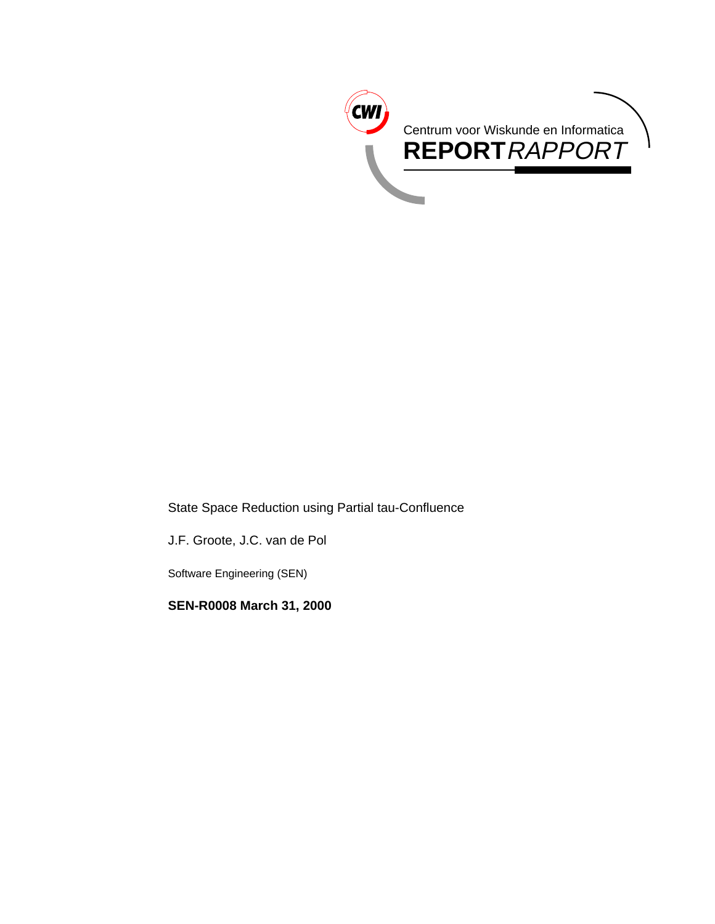

State Space Reduction using Partial tau-Confluence

J.F. Groote, J.C. van de Pol

Software Engineering (SEN)

**SEN-R0008 March 31, 2000**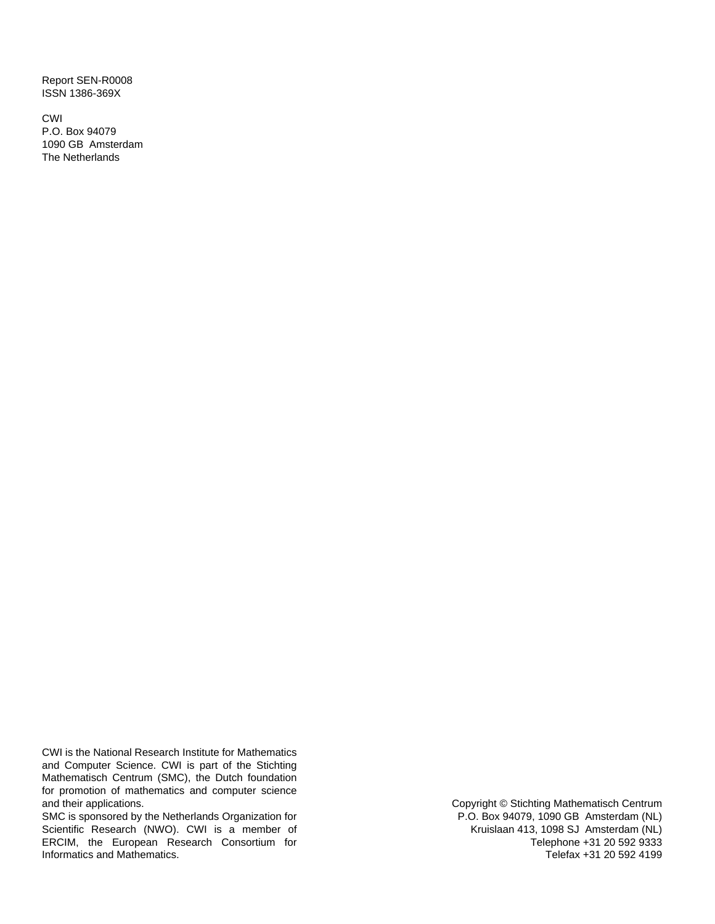Report SEN-R0008 ISSN 1386-369X

CWI P.O. Box 94079 1090 GB Amsterdam The Netherlands

CWI is the National Research Institute for Mathematics and Computer Science. CWI is part of the Stichting Mathematisch Centrum (SMC), the Dutch foundation for promotion of mathematics and computer science and their applications.

SMC is sponsored by the Netherlands Organization for Scientific Research (NWO). CWI is a member of ERCIM, the European Research Consortium for Informatics and Mathematics.

Copyright © Stichting Mathematisch Centrum P.O. Box 94079, 1090 GB Amsterdam (NL) Kruislaan 413, 1098 SJ Amsterdam (NL) Telephone +31 20 592 9333 Telefax +31 20 592 4199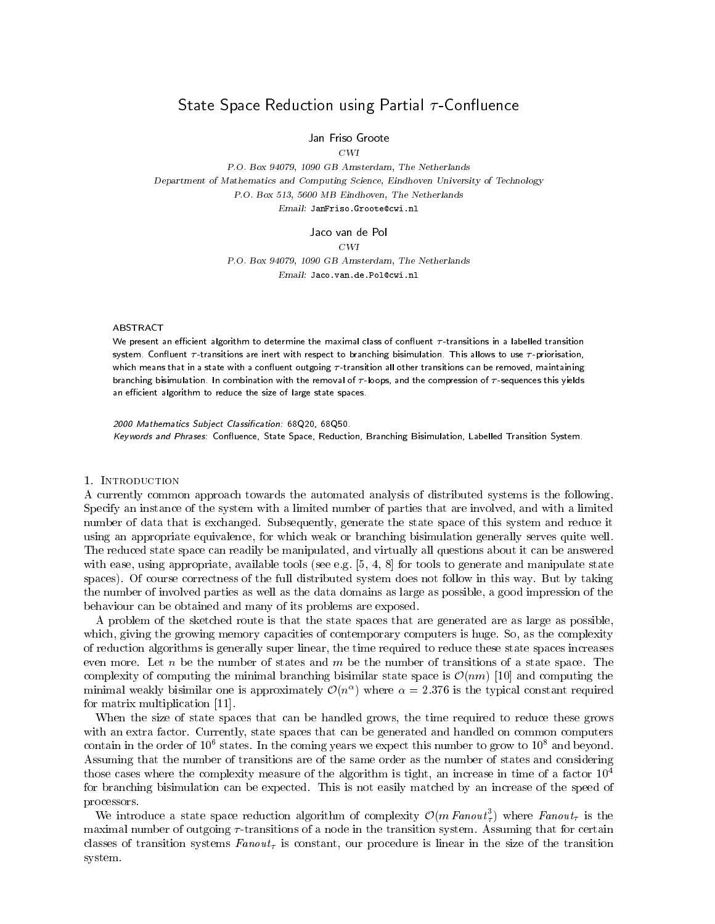# State Space Reduction using Partial -Con
uence

Jan Friso Groote

 $CWI$ 

P.O. Box 94079, 1090 GB Amsterdam, The Netherlands Department of Mathematics and Computing Science, Eindhoven University of Technology P.O. Box 513, 5600 MB Eindhoven, The Netherlands Email: JanFriso.Groote@cwi.nl

Jaco van de Pol

 $CWI$ 

P.O. Box 94079, 1090 GB Amsterdam, The Netherlands Email: Jaco.van.de.Pol@cwi.nl

## **ABSTRACT**

We present an efficient algorithm to determine the maximal class of confluent  $\tau$ -transitions in a labelled transition system. Confluent  $\tau$ -transitions are inert with respect to branching bisimulation. This allows to use  $\tau$ -priorisation, which means that in a state with a confluent outgoing  $\tau$ -transition all other transitions can be removed, maintaining branching bisimulation. In combination with the removal of  $\tau$ -loops, and the compression of  $\tau$ -sequences this yields an efficient algorithm to reduce the size of large state spaces.

2000 Mathematics Subject Classication: 68Q20, 68Q50. K*eywords and Phrases.* Confluence, State Space, Reduction, Branching Bisimulation, Labelled Transition System.

### 1. Introduction

A currently common approach towards the automated analysis of distributed systems is the following. Specify an instance of the system with a limited number of parties that are involved, and with a limited number of data that is exchanged. Subsequently, generate the state space of this system and reduce it using an appropriate equivalence, for which weak or branching bisimulation generally serves quite well. The reduced state space can readily be manipulated, and virtually all questions about it can be answered with ease, using appropriate, available tools (see e.g.  $[5, 4, 8]$  for tools to generate and manipulate state spaces). Of course correctness of the full distributed system does not follow in this way. But by taking the number of involved parties as well as the data domains as large as possible, a good impression of the behaviour can be obtained and many of its problems are exposed.

A problem of the sketched route is that the state spaces that are generated are as large as possible, which, giving the growing memory capacities of contemporary computers is huge. So, as the complexity of reduction algorithms is generally super linear, the time required to reduce these state spaces increases even more. Let n be the number of states and m be the number of transitions of a state space. The complexity of computing the minimal branching bisimilar state space is  $\mathcal{O}(nm)$  [10] and computing the minimal weakly bisimilar one is approximately  $\mathcal{O}(n^{\alpha})$  where  $\alpha = 2.376$  is the typical constant required for matrix multiplication [11].

When the size of state spaces that can be handled grows, the time required to reduce these grows with an extra factor. Currently, state spaces that can be generated and handled on common computers contain in the order of 10° states. In the coming years we expect this number to grow to 10° and beyond. Assuming that the number of transitions are of the same order as the number of states and considering those cases where the complexity measure of the algorithm is tight, an increase in time of a factor  $10<sup>4</sup>$ for branching bisimulation can be expected. This is not easily matched by an increase of the speed of processors.

We introduce a state space reduction algorithm of complexity  $\mathcal{O}(m \text{ Fanout}_7)$  where  $\text{Fanout}_7$  is the maximal number of outgoing  $\tau$ -transitions of a node in the transition system. Assuming that for certain classes of transition systems  $Fanout<sub>\tau</sub>$  is constant, our procedure is linear in the size of the transition system.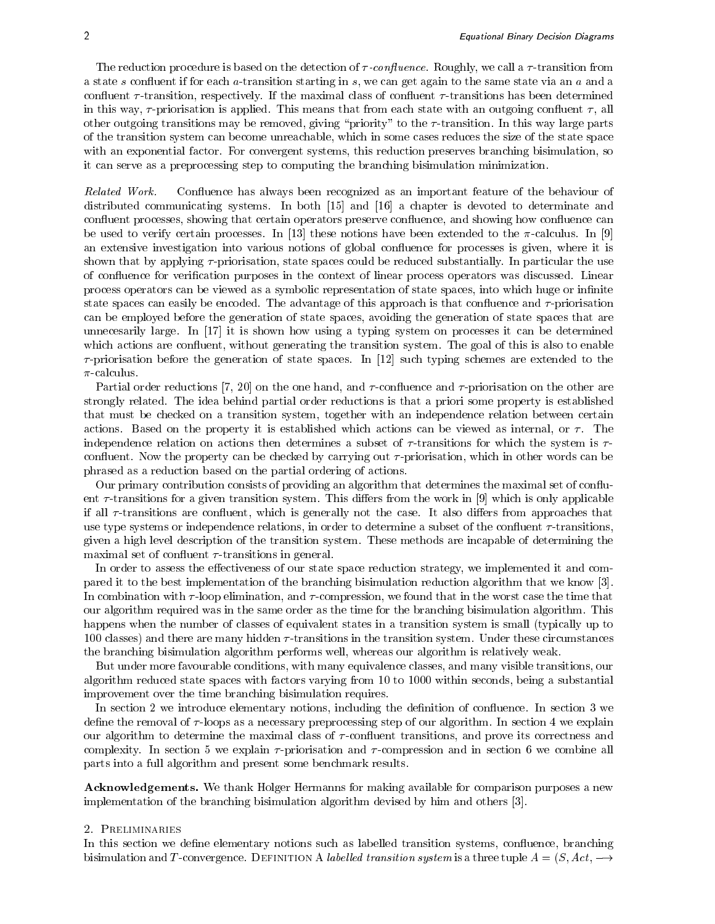The reduction procedure is based on the detection of  $\tau$ -confluence. Roughly, we call a  $\tau$ -transition from a state s confluent if for each a-transition starting in s, we can get again to the same state via an a and a confluent  $\tau$ -transition, respectively. If the maximal class of confluent  $\tau$ -transitions has been determined in this way,  $\tau$ -priorisation is applied. This means that from each state with an outgoing confluent  $\tau$ , all other outgoing transitions may be removed, giving "priority" to the  $\tau$ -transition. In this way large parts of the transition system can become unreachable, which in some cases reduces the size of the state space with an exponential factor. For convergent systems, this reduction preserves branching bisimulation, so it can serve as a preprocessing step to computing the branching bisimulation minimization.

Related Work. Confluence has always been recognized as an important feature of the behaviour of distributed communicating systems. In both  $[15]$  and  $[16]$  a chapter is devoted to determinate and confluent processes, showing that certain operators preserve confluence, and showing how confluence can be used to verify certain processes. In [13] these notions have been extended to the  $\pi$ -calculus. In [9] an extensive investigation into various notions of global con
uence for processes is given, where it is shown that by applying  $\tau$ -priorisation, state spaces could be reduced substantially. In particular the use of con
uence for verication purposes in the context of linear process operators was discussed. Linear process operators can be viewed as a symbolic representation of state spaces, into which huge or infinite state spaces can easily be encoded. The advantage of this approach is that confluence and  $\tau$ -priorisation can be employed before the generation of state spaces, avoiding the generation of state spaces that are unnecesarily large. In  $\left[17\right]$  it is shown how using a typing system on processes it can be determined which actions are confluent, without generating the transition system. The goal of this is also to enable  $\tau$ -priorisation before the generation of state spaces. In [12] such typing schemes are extended to the  $\pi$ -calculus.

Partial order reductions [7, 20] on the one hand, and  $\tau$ -confluence and  $\tau$ -priorisation on the other are strongly related. The idea behind partial order reductions is that a priori some property is established that must be checked on a transition system, together with an independence relation between certain actions. Based on the property it is established which actions can be viewed as internal, or  $\tau$ . The independence relation on actions then determines a subset of  $\tau$ -transitions for which the system is  $\tau$ confluent. Now the property can be checked by carrying out  $\tau$ -priorisation, which in other words can be phrased as a reduction based on the partial ordering of actions.

Our primary contribution consists of providing an algorithm that determines the maximal set of con
uent  $\tau$ -transitions for a given transition system. This differs from the work in [9] which is only applicable if all  $\tau$ -transitions are confluent, which is generally not the case. It also differs from approaches that use type systems or independence relations, in order to determine a subset of the confluent  $\tau$ -transitions, given a high level description of the transition system. These methods are incapable of determining the maximal set of confluent  $\tau$ -transitions in general.

In order to assess the effectiveness of our state space reduction strategy, we implemented it and compared it to the best implementation of the branching bisimulation reduction algorithm that we know [3]. In combination with  $\tau$ -loop elimination, and  $\tau$ -compression, we found that in the worst case the time that our algorithm required was in the same order as the time for the branching bisimulation algorithm. This happens when the number of classes of equivalent states in a transition system is small (typically up to 100 classes) and there are many hidden  $\tau$ -transitions in the transition system. Under these circumstances the branching bisimulation algorithm performs well, whereas our algorithm is relatively weak.

But under more favourable conditions, with many equivalence classes, and many visible transitions, our algorithm reduced state spaces with factors varying from 10 to 1000 within seconds, being a substantial improvement over the time branching bisimulation requires.

In section 2 we introduce elementary notions, including the definition of confluence. In section 3 we define the removal of  $\tau$ -loops as a necessary preprocessing step of our algorithm. In section 4 we explain our algorithm to determine the maximal class of  $\tau$ -confluent transitions, and prove its correctness and complexity. In section 5 we explain  $\tau$ -priorisation and  $\tau$ -compression and in section 6 we combine all parts into a full algorithm and present some benchmark results.

Acknowledgements. We thank Holger Hermanns for making available for comparison purposes a new implementation of the branching bisimulation algorithm devised by him and others [3].

#### 2. Preliminaries

In this section we define elementary notions such as labelled transition systems, confluence, branching bisimulation and T-convergence. DEFINITION A *labelled transition system* is a three tuple  $A = (S, Act, \rightarrow$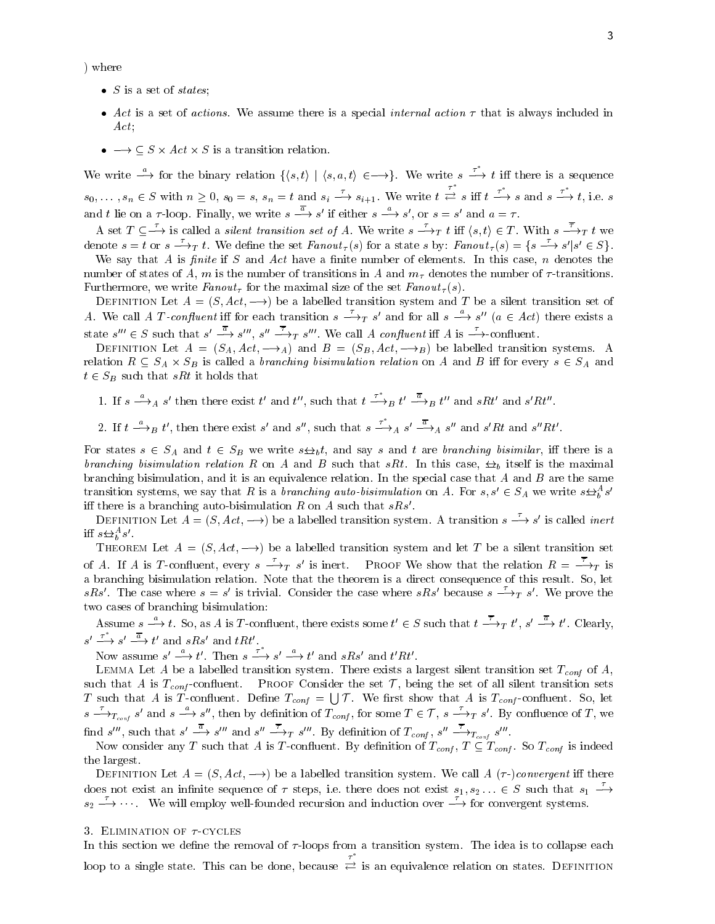) where

- $\bullet$  5 is a set of states;
- $\bullet$  Act is a set of actions. We assume there is a special internal action  $\tau$  that is always included in
- $\bullet \longrightarrow \subseteq S \times Act \times S$  is a transition relation.

We write  $\stackrel{a}{\longrightarrow}$  for the binary relation  $\{\langle s,t\rangle | \langle s,a,t\rangle \in \longrightarrow\}$ . We write  $s \stackrel{\tau}{\longrightarrow} t$  iff there is a sequence  $s_0,\ldots,s_n\in S$  with  $n\geq 0$ ,  $s_0=s$ ,  $s_n=t$  and  $s_i\stackrel{\tau}{\longrightarrow}s_{i+1}$ . We write  $t\stackrel{\tau}{\rightleftarrows}s$  iff  $t\stackrel{\tau^*}{\longrightarrow}s$  and  $s\stackrel{\tau^*}{\longrightarrow}t$ , i.e. s and t lie on a  $\tau$ -loop. Finally, we write  $s \longrightarrow s'$  if either  $s \longrightarrow s'$ , or  $s = s'$  and  $a = \tau$ .

A set  $T \subseteq \longrightarrow$  is called a *silent transition set of A*. We write  $s \longrightarrow_T t$  iff  $\langle s, t \rangle \in T$ . With  $s \longrightarrow_T t$  we denote  $s = t$  or  $s \rightarrow_T t$ . We define the set  $Fanout_{\tau}(s)$  for a state s by:  $Fanout_{\tau}(s) = \{s \rightarrow s' | s' \in S\}$ .

We say that A is finite if S and Act have a finite number of elements. In this case,  $n$  denotes the number of states of A, m is the number of transitions in A and  $m<sub>\tau</sub>$  denotes the number of  $\tau$ -transitions. Furthermore, we write  $Fanout_{\tau}$  for the maximal size of the set  $Fanout_{\tau}(s)$ .

DEFINITION Let  $A = (S, Act, \rightarrow)$  be a labelled transition system and T be a silent transition set of A. We call A T-confluent iff for each transition  $s \to_T s'$  and for all  $s \to s''$  ( $a \in Act$ ) there exists a state  $s''' \in S$  such that  $s' \longrightarrow s'''$ ,  $s'' \longrightarrow_T s'''$ . We call A confluent iff A is  $\longrightarrow$ -confluent.

DEFINITION Let  $A = (S_A, Act, \longrightarrow_A)$  and  $B = (S_B, Act, \longrightarrow_B)$  be labelled transition systems. A relation  $R \subseteq S_A \times S_B$  is called a *branching bisimulation relation* on A and B iff for every  $s \in S_A$  and  $t \in S_B$  such that sRt it holds that

1. If  $s \xrightarrow{a} s'$  then there exist t' and t'', such that  $t \xrightarrow{\tau} B t' \xrightarrow{a} t''$  and  $sRt'$  and  $s'Rt''$ .

2. If  $t \xrightarrow{a} B t'$ , then there exist s' and s'', such that  $s \xrightarrow{\tau} A s' \xrightarrow{a} s''$  and s'Rt and  $s''Rt'$ .

For states  $s \in S_A$  and  $t \in S_B$  we write  $s \Leftrightarrow_b t$ , and say s and t are branching bisimilar, iff there is a branching bisimulation relation R on A and B such that sRt. In this case,  $\leftrightarrow$  itself is the maximal branching bisimulation, and it is an equivalence relation. In the special case that  $A$  and  $B$  are the same transition systems, we say that R is a *branching auto-bisimulation* on A. For  $s, s' \in S_A$  we write  $s \triangle^{\alpha}_b s'$ iff there is a branching auto-bisimulation R on A such that  $sRs'$ .

DEFINITION Let  $A = (S, Act, \rightarrow)$  be a labelled transition system. A transition  $s \rightarrow s'$  is called *inert* iff  $s \bigoplus_{b} s'$ .

THEOREM Let  $A = (S, Act, -))$  be a labelled transition system and let T be a silent transition set of A. If A is T-confluent, every  $s \longrightarrow_T s'$  is inert. PROOF We show that the relation  $R = \longrightarrow_T$  is a branching bisimulation relation. Note that the theorem is a direct consequence of this result. So, let sRs'. The case where  $s = s'$  is trivial. Consider the case where sRs' because  $s \rightarrow_T s'$ . We prove the two cases of branching bisimulation:

Assume  $s \to t$ . So, as A is T-confluent, there exists some  $t' \in S$  such that  $t \to_T t'$ ,  $s' \to t'$ . Clearly,  $s' \stackrel{\tau}{\longrightarrow} s' \stackrel{a}{\longrightarrow} t'$  and  $sRs'$  and  $tRt'$ .

Now assume  $s' \stackrel{a}{\longrightarrow} t'$ . Then  $s \stackrel{\tau}{\longrightarrow} s' \stackrel{a}{\longrightarrow} t'$  and  $sRs'$  and  $t'Rt'$ .

 $\Omega$  be a labelled transition system. There exists a largest silent transition system as  $\Omega$ such that A is  $T_{cont}$ -confluent. PROOF Consider the set  $\mathcal{T}$ , being the set of all silent transition sets T such that A is T-confluent. Define  $T_{cont} = \bigcup \mathcal{T}$ . We first show that A is  $T_{cont}$ -confluent. So, let  $s \rightharpoonup_{T_{cont}} s'$  and  $s \rightharpoonup s''$ , then by definition of  $T_{cont}$ , for some  $T \in \mathcal{T}$ ,  $s \rightharpoonup_{T} s'$ . By confluence of T, we find s''', such that  $s' \longrightarrow s'''$  and  $s'' \longrightarrow_T s'''$ . By definition of  $T_{conf}$ ,  $s'' \longrightarrow_{T_{conf}} s'''$ .

Now consider any T such that A is T-confluent. By definition of  $T_{conf}$ ,  $T \subseteq T_{conf}$ . So  $T_{conf}$  is indeed the largest.

DEFINITION Let  $A = (S, Act, \rightarrow)$  be a labelled transition system. We call  $A(\tau-)convergent$  iff there does not exist an infinite sequence of  $\tau$  steps, i.e. there does not exist  $s_1, s_2, \ldots \in S$  such that  $s_1 \longrightarrow$  $s_2 \longrightarrow \cdots$  We will employ well-founded recursion and induction over  $\longrightarrow$  for convergent systems.

#### 3. ELIMINATION OF  $\tau$ -CYCLES

In this section we define the removal of  $\tau$ -loops from a transition system. The idea is to collapse each loop to a single state. This can be done, because  $\tau$  . The state  $\tau$ is an equivalence relation on states. Definition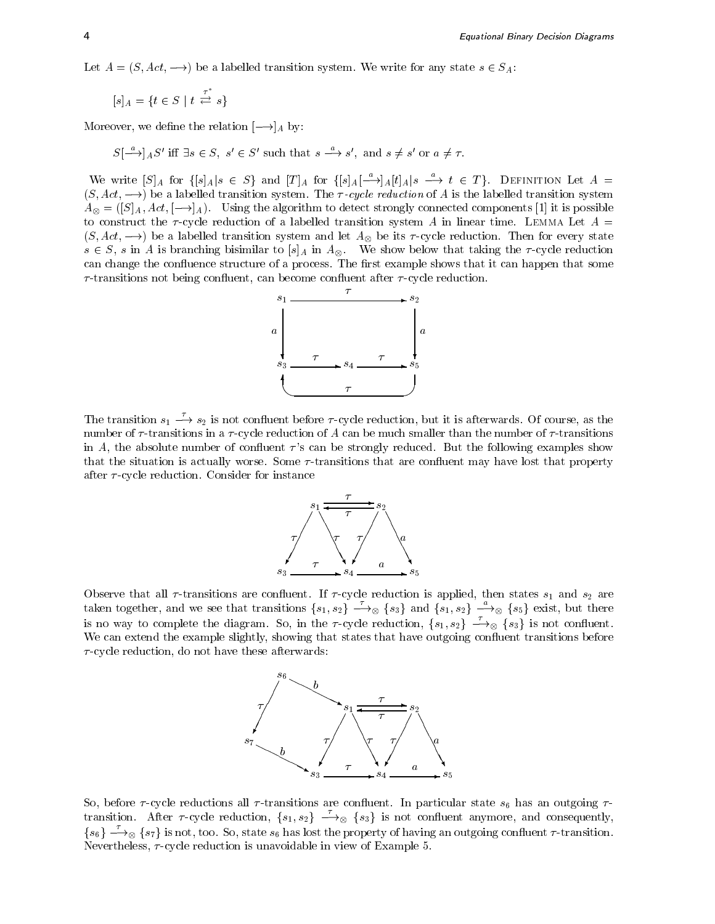Let  $A = (S, Act, \rightarrow)$  be a labelled transition system. We write for any state  $s \in S_A$ :

$$
[s]_A = \{ t \in S \mid t \stackrel{\tau^*}{\rightleftharpoons} s \}
$$

Moreover, we define the relation  $[-\rightarrow]_A$  by:

 $S\left[\begin{array}{c}\n\infty \\
\rightarrow \infty\n\end{array}\right]$  and  $S' \subseteq S'$  such that  $s \stackrel{\omega}{\longrightarrow} s'$ , and  $s \neq s'$  or  $a \neq \tau$ .

We write  $[S]_A$  for  $\{[s]_A | s \in S\}$  and  $[T]_A$  for  $\{[s]_A[-\rightarrow]_A[t]_A | s \stackrel{a}{\longrightarrow} t \in T\}$ . DEFINITION Let  $A =$  $(S, Act, \longrightarrow)$  be a labelled transition system. The *T-cycle reduction* of A is the labelled transition system  $A_{\otimes} = (S|A, Act, [\neg \rightarrow]_A)$ . Using the algorithm to detect strongly connected components [1] it is possible to construct the  $\tau$ -cycle reduction of a labelled transition system A in linear time. LEMMA Let  $A =$  $(S, Act, \longrightarrow)$  be a labelled transition system and let  $A_{\otimes}$  be its  $\tau$ -cycle reduction. Then for every state  $s \in S$ , s in A is branching bisimilar to  $|s|_A$  in  $A_{\infty}$ . We show below that taking the  $\tau$ -cycle reduction can change the confluence structure of a process. The first example shows that it can happen that some  $\tau$ -transitions not being confluent, can become confluent after  $\tau$ -cycle reduction.



The transition  $s_1 \longrightarrow s_2$  is not confluent before  $\tau$ -cycle reduction, but it is afterwards. Of course, as the number of  $\tau$ -transitions in a  $\tau$ -cycle reduction of A can be much smaller than the number of  $\tau$ -transitions in A, the absolute number of confluent  $\tau$ 's can be strongly reduced. But the following examples show that the situation is actually worse. Some  $\tau$ -transitions that are confluent may have lost that property after  $\tau$ -cycle reduction. Consider for instance



Observe that all  $\tau$ -transitions are confluent. If  $\tau$ -cycle reduction is applied, then states  $s_1$  and  $s_2$  are taken together, and we see that transitions  $\{s_1, s_2\} \longrightarrow_{\otimes} \{s_3\}$  and  $\{s_1, s_2\} \longrightarrow_{\otimes} \{s_5\}$  exist, but there is no way to complete the diagram. So, in the *r*-cycle reduction,  $\{s_1, s_2\} \longrightarrow_{\otimes} \{s_3\}$  is not confluent. We can extend the example slightly, showing that states that have outgoing confluent transitions before  $\tau$ -cycle reduction, do not have these afterwards:



transition. After  $\tau$ -cycle reduction,  $\{s_1, s_2\}$   $\stackrel{\tau}{\longrightarrow}$   $\otimes$   $\{s_3\}$  is not confluent anymore, and consequently,  $\{s_6\} \longrightarrow_{\otimes} \{s_7\}$  is not, too. So, state  $s_6$  has lost the property of having an outgoing confluent  $\tau$ -transition. Nevertheless,  $\tau$ -cycle reduction is unavoidable in view of Example 5.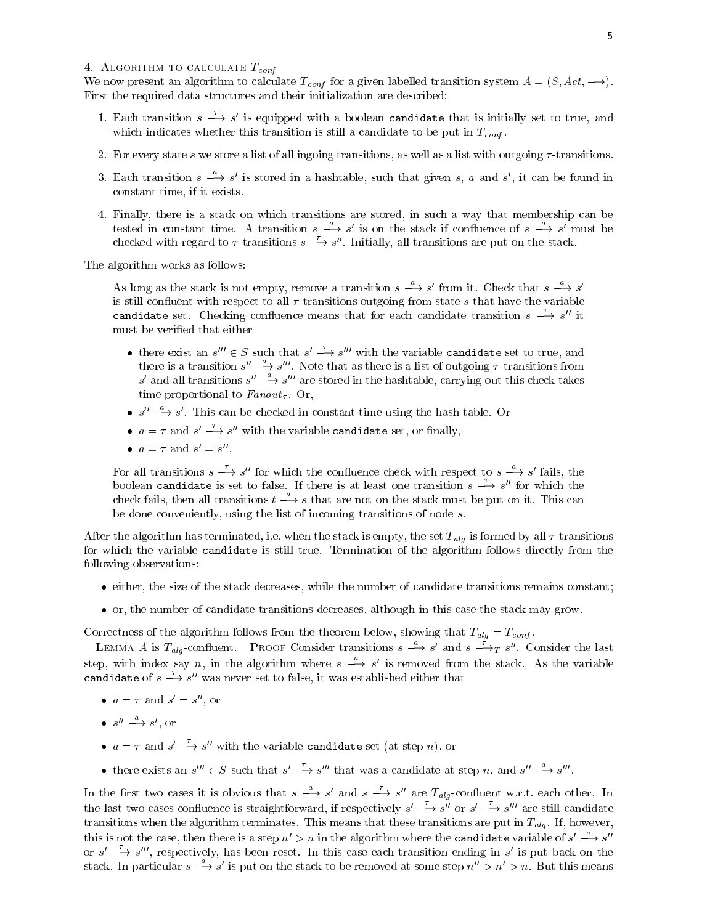### 4. ALGORITHM TO CALCULATE  $T_{conf}$

We now present an algorithm to calculate  $T_{conf}$  for a given labelled transition system  $A = (S, Act, \longrightarrow)$ . First the required data structures and their initialization are described:

- 1. Each transition  $s \longrightarrow s'$  is equipped with a boolean candidate that is initially set to true, and which indicates whether this transition is still a candidate to be put in  $T_{conf}$ .
- 2. For every state s we store a list of all ingoing transitions, as well as a list with outgoing  $\tau$ -transitions.
- 3. Each transition  $s \to s'$  is stored in a hashtable, such that given s, a and s', it can be found in constant time, if it exists.
- 4. Finally, there is a stack on which transitions are stored, in such a way that membership can be tested in constant time. A transition  $s \longrightarrow s'$  is on the stack if confluence of  $s \longrightarrow s'$  must be checked with regard to  $\tau$ -transitions  $s \longrightarrow s$ ". Initially, all transitions are put on the stack.

The algorithm works as follows:  $T$  and  $T$  are algorithm works as follows:

> As long as the stack is not empty, remove a transition  $s \longrightarrow s'$  from it. Check that  $s \longrightarrow s'$ is still confluent with respect to all  $\tau$ -transitions outgoing from state s that have the variable candidate set. Checking confluence means that for each candidate transition  $s \rightarrow s''$  it

- there exist an  $s'' \in S$  such that  $s' \longrightarrow s'''$  with the variable candidate set to true, and there is a transition  $s'' \rightarrow s'''$ . Note that as there is a list of outgoing  $\tau$ -transitions from s' and all transitions s''  $\rightarrow$  s''' are stored in the hashtable, carrying out this check takes time proportional to Fanout . Or,
- $s'' \longrightarrow s'$ . This can be checked in constant time using the hash table. Or
- $a = \tau$  and  $s' \rightarrow s''$  with the variable candidate set, or finally,
- $a = \tau$  and  $s' = s'$ .

For all transitions  $s \longrightarrow s''$  for which the confluence check with respect to  $s \longrightarrow s'$  fails, the boolean candidate is set to false. If there is at least one transition  $s \rightarrow s''$  for which the check fails, then all transitions  $t \stackrel{a}{\longrightarrow} s$  that are not on the stack must be put on it. This can be done conveniently, using the list of incoming transitions of node s.

After the algorithm has terminated, i.e. when the stack is empty, the set Talg is  $\mathcal{L}$  all  $\mathcal{L}$  -transitions is formed by all  $\mathcal{L}$ for which the variable candidate isstill true. Termination of the algorithm follows directly from the following observations:

- $\bullet$  either, the size of the stack decreases, while the number of candidate transitions remains constant;
- $\bullet$  or, the number of candidate transitions decreases, although in this case the stack may grow.

Correctness of the algorithm follows from the theorem below, showing that Talg <sup>=</sup> Tconf .

LEMMA A is  $T_{ab}$ -confluent. PROOF Consider transitions  $s \longrightarrow s'$  and  $s \longrightarrow_T s''$ . Consider the last step, with index say n, in the algorithm where  $s \rightarrow s'$  is removed from the stack. As the variable candidate of  $s \longrightarrow s''$  was never set to false, it was established either that

- $a = \tau$  and  $s' = s''$ , or
- $\bullet$  s''  $\longrightarrow$  s', or
- $a = \tau$  and  $s' \rightarrow s''$  with the variable candidate set (at step n), or
- there exists an  $s'' \in S$  such that  $s' \longrightarrow s'''$  that was a candidate at step n, and  $s'' \longrightarrow s'''$ .

In the first two cases it is obvious that  $s \longrightarrow s'$  and  $s \longrightarrow s''$  are  $T_{ala}$ -confluent w.r.t. each other. In the last two cases confluence is straightforward, if respectively  $s' \longrightarrow s''$  or  $s' \longrightarrow s'''$  are still candidate transitions when the algorithm terminates. This means that the algorithm terminates are put in Talg . If, however,  $\mu$ this is not the case, then there is a step  $n' > n$  in the algorithm where the candidate variable of  $s' \longrightarrow s''$ or  $s' \longrightarrow s'''$ , respectively, has been reset. In this case each transition ending in s' is put back on the stack. In particular  $s \longrightarrow s'$  is put on the stack to be removed at some step  $n'' > n' > n$ . But this means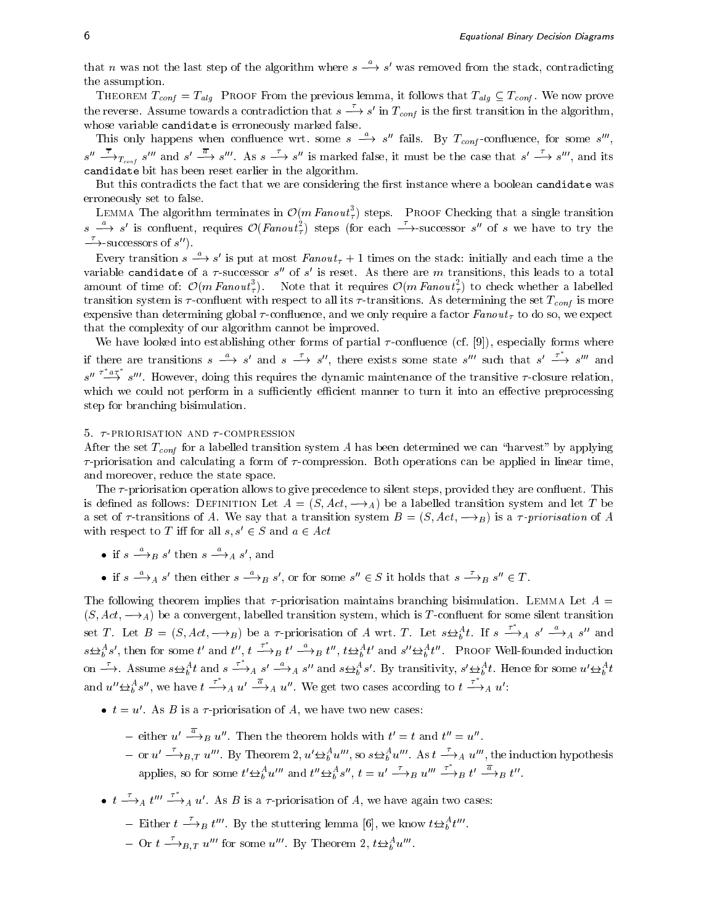that n was not the last step of the algorithm where  $s \rightarrow s'$  was removed from the stack, contradicting the assumption.

THEOREM  $T_{conf} = T_{ala}$  PROOF From the previous lemma, it follows that  $T_{ala} \subseteq T_{conf}$ . We now prove the reverse. Assume towards a contradiction that  $s \longrightarrow s'$  in  $T_{conf}$  is the first transition in the algorithm, whose variable candidates is errorice as  $y$  matrixed false.

This only happens when confluence wrt. some  $s \rightarrow s''$  fails. By  $T_{conf}$ -confluence, for some  $s'''$ , , and the contract of the contract of the contract of the contract of the contract of the contract of the contract of the contract of the contract of the contract of the contract of the contract of the contract of the con  $s'' \longrightarrow_{T_{cont}} s'''$  and  $s' \longrightarrow s'''$ . As  $s \longrightarrow s''$  is marked false, it must be the case that  $s' \longrightarrow s'''$ , and its candidate bit has been reset earlier in the algorithm.

But this contradicts the fact that we are considering the first instance where a boolean candidate was erroneously set to false.

LEMMA The algorithm terminates in  $\mathcal{O}(m \text{ Fan} \text{out}^3)$  steps. PROOF Checking that a single transition  $s \stackrel{\alpha}{\longrightarrow} s'$  is confluent, requires  $\mathcal{O}(Fanout_{\tau}^2)$  steps (for each  $\stackrel{\sim}{\longrightarrow}$ -successor s'' of s we have to try the  $\longrightarrow$ -successors of s'').

Every transition  $s \longrightarrow s'$  is put at most Fanout<sub> $\tau$ </sub> + 1 times on the stack: initially and each time a the variable candidate of a  $\tau$ -successor  $s$  for  $s$  is reset. As there are m transitions, this leads to a total amount of time of:  $\mathcal{O}(m \text{ Fanout}^3)$ . Note that it requires  $\mathcal{O}(m \text{ Fanout}^2)$  to check whether a labelled transition system is all its  $\Gamma$  -contributions. As determining the set Tconf is more than  $\Gamma$ experiment than determining global intermediate and we only require a factor Fanout in the well as well control. that the complexity of our algorithm cannot be improved.

We have looked into establishing other forms of partial  $\tau$ -confluence (cf. [9]), especially forms where if there are transitions  $s \xrightarrow{a} s'$  and  $s \xrightarrow{\tau} s''$ , there exists some state s'" such that  $s' \xrightarrow{\tau} s'''$  and  $s'' \stackrel{\tau a \to \tau}{\longrightarrow} s'''$ . However, doing this requires the dynamic maintenance of the transitive  $\tau$ -closure relation, which we could not perform in a sufficiently efficient manner to turn it into an effective preprocessing step for branching bisimulation.

#### $5.7$ -PRIORISATION AND  $7$ -COMPRESSION

 $\Delta$ fter the set  $\Delta$  is a labelled transition system A has been determined we can also be can apply in  $\Delta$  $\tau$ -priorisation and calculating a form of  $\tau$ -compression. Both operations can be applied in linear time, and moreover, reduce the state space.

The  $\tau$ -priorisation operation allows to give precedence to silent steps, provided they are confluent. This is defined as follows: DEFINITION Let  $A = (S, Act, \rightarrow_A)$  be a labelled transition system and let T be a set of  $\tau$ -transitions of A. We say that a transition system  $B = (S, Act, \rightarrow_B)$  is a  $\tau$ -priorisation of A with respect to T iff for all  $s, s' \in S$  and  $a \in Act$ 

- if  $s \longrightarrow_B s'$  then  $s \longrightarrow_A s'$ , and
- if  $s \longrightarrow_A s'$  then either  $s \longrightarrow_B s'$ , or for some  $s'' \in S$  it holds that  $s \longrightarrow_B s'' \in T$ .

The following theorem implies that  $\tau$ -priorisation maintains branching bisimulation. LEMMA Let  $A =$  $(S, Act, \longrightarrow_A)$  be a convergent, labelled transition system, which is T-confluent for some silent transition set T. Let  $B = (S, Act, \longrightarrow_B)$  be a  $\tau$ -priorisation of A wrt. T. Let  $s \leftrightarrow_h^A t$ . If  $s \stackrel{\tau}{\longrightarrow}_A s' \stackrel{a}{\longrightarrow}_A s''$  and  $s \Leftrightarrow_{b}^{A} s'$ , then for some t' and t'',  $t \stackrel{\tau}{\longrightarrow}_B t' \stackrel{a}{\longrightarrow}_B t''$ ,  $t \Leftrightarrow_{b}^{A} t'$  and  $s'' \Leftrightarrow_{b}^{A} t''$ . Proof Well-founded induction on  $\stackrel{\tau}{\longrightarrow}$ . Assume  $s \Leftrightarrow^A_b t$  and  $s \stackrel{\tau}{\longrightarrow}_A s' \stackrel{a}{\longrightarrow}_A s''$  and  $s \Leftrightarrow^A_b s'$ . By transitivity,  $s' \Leftrightarrow^A_b t$ . Hence for some  $u' \Leftrightarrow^A_b t$ and  $u'' \Leftrightarrow^{A}_{b} s''$ , we have  $t \stackrel{\tau}{\longrightarrow}_A u' \stackrel{a}{\longrightarrow}_A u''$ . We get two cases according to  $t \stackrel{\tau}{\longrightarrow}_A u'$ :

- $\bullet$   $t = u$ . As B is a  $\tau$ -priorisation of A, we have two new cases:
	- ${}^+$  either  $u' \rightarrow_B u''$ . Then the theorem holds with  $t' = t$  and  $t'' = u''$ .
	- $=$  or  $u' \rightarrow_{B,T} u''$ . By Theorem 2,  $u' \triangleq_b u''$ , so  $s \triangleq_b u''$ . As  $t \rightarrow_A u'''$ , the induction hypothesis applies, so for some  $t' \triangleleft_{b}^{A} u'''$  and  $t'' \triangleleft_{b}^{A} s''$ ,  $t = u' - \rightarrow_{B} u'''$   $\stackrel{\tau}{\longrightarrow}_{B} t' \stackrel{a}{\longrightarrow}_{B} t''$ .
- $t \stackrel{\tau}{\longrightarrow}_A t^{\prime\prime\prime} \stackrel{\tau}{\longrightarrow}_A u'$ . As B is a  $\tau$ -priorisation of A, we have again two cases:
	- = Either  $t \longrightarrow_B t'''$ . By the stuttering lemma [6], we know  $t \triangleleft_b^t t'''$ .
	- ${\rm Oor}~t\longrightarrow_{B,T}u^{\prime\prime\prime}$  for some  $u^{\prime\prime\prime}$ . By Theorem 2,  $t{\triangleleft}^{\scriptscriptstyle{A}}_b u^{\prime\prime\prime}$ .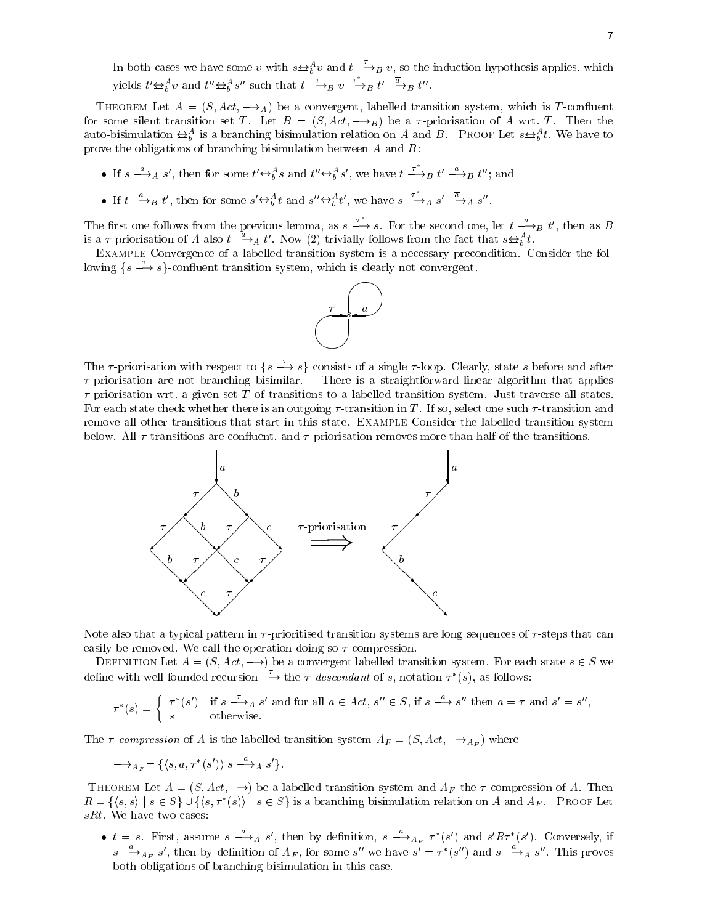In both cases we have some v with  $s \triangleleft^v_b v$  and  $t \longrightarrow_B v$ , so the induction hypothesis applies, which yields  $t' \triangleq_b^A v$  and  $t'' \triangleq_b^A s''$  such that  $t \stackrel{\tau}{\longrightarrow}_B v \stackrel{\tau}{\longrightarrow}_B t' \stackrel{a}{\longrightarrow}_B t''$ .

THEOREM Let  $A = (S, Act, \rightarrow_A)$  be a convergent, labelled transition system, which is T-confluent for some silent transition set T. Let  $B = (S, Act, \rightarrow_B)$  be a  $\tau$ -priorisation of A wrt. T. Then the auto-bisimulation  $\bigoplus_{b=1}^{\infty}$  is a branching bisimulation relation on A and B. PROOF Let  $s \bigoplus_{b=1}^{\infty} t$ . We have to prove the obligations of branching bisimulation between  $A$  and  $B$ :

- If  $s \stackrel{a}{\longrightarrow}_A s'$ , then for some  $t' \oplus b^s$  and  $t'' \oplus b^s$ , we have  $t \stackrel{\tau}{\longrightarrow}_B t' \stackrel{a}{\longrightarrow}_B t''$ ; and
- If  $t \stackrel{a}{\longrightarrow}_B t'$ , then for some  $s' \not\hookrightarrow_b^A t$  and  $s'' \not\hookrightarrow_b^A t'$ , we have  $s \stackrel{\tau}{\longrightarrow}_A s' \stackrel{a}{\longrightarrow}_A s''$ .

The first one follows from the previous lemma, as  $s \xrightarrow{\tau} s$ . For the second one, let  $t \xrightarrow{a} B$  t', then as B is a  $\tau$ -priorisation of A also  $t \xrightarrow{a} A$  t'. Now (2) trivially follows from the fact that  $s \leftrightarrow_b^A t$ .

Example Convergence of a labelled transition system is a necessary precondition. Consider the following  $\{s \rightharpoonup s\}$ -confluent transition system, which is clearly not convergent.



The  $\tau$ -priorisation with respect to  $\{s \stackrel{\iota}{\longrightarrow} s\}$  consists of a single  $\tau$ -loop. Clearly, state s before and after  $\tau$ -priorisation are not branching bisimilar. There is a straightforward linear algorithm that applies  $\tau$ -priorisation wrt. a given set T of transitions to a labelled transition system. Just traverse all states. For each state check whether there is an outgoing  $\tau$ -transition in T. If so, select one such  $\tau$ -transition and remove all other transitions that start in this state. Example Consider the labelled transition system below. All  $\tau$ -transitions are confluent, and  $\tau$ -priorisation removes more than half of the transitions.



Note also that a typical pattern in  $\tau$ -prioritised transition systems are long sequences of  $\tau$ -steps that can easily be removed. We call the operation doing so  $\tau$ -compression.

DEFINITION Let  $A = (S, Act, \rightarrow)$  be a convergent labelled transition system. For each state  $s \in S$  we define with well-founded recursion  $\longrightarrow$  the  $\tau$ -descendant of s, notation  $\tau^*(s)$ , as follows:

$$
\tau^*(s) = \begin{cases} \tau^*(s') & \text{if } s \xrightarrow{\tau} A \ s' \text{ and for all } a \in Act, s'' \in S, \text{ if } s \xrightarrow{a} s'' \text{ then } a = \tau \text{ and } s' = s'', \\ s & \text{otherwise.} \end{cases}
$$

The  $\tau$ -compression of A is the labelled transition system  $A_F = (S, Act, \longrightarrow_{A_F})$  where

$$
{\longrightarrow_{A_F}}=\{\langle s,a,\tau^*(s')\rangle|s\stackrel{a}{\longrightarrow}_As'\}.
$$

THEOREM Let  $A = (S, Act, \rightarrow)$  be a labelled transition system and  $A_F$  the  $\tau$ -compression of A. Then  $R = \{\langle s, s \rangle \mid s \in S\} \cup \{\langle s, \tau^*(s) \rangle \mid s \in S\}$  is a branching bisimulation relation on A and  $A_F$ . Proof Let sRt. We have two cases:

•  $t = s$ . First, assume  $s \longrightarrow_A s'$ , then by definition,  $s \longrightarrow_{A_F} \tau^*(s')$  and  $s' R \tau^*(s')$ . Conversely, if  $s \longrightarrow_{A_F} s'$ , then by definition of  $A_F$ , for some s'' we have  $s' = \tau^*(s'')$  and  $s \longrightarrow_A s''$ . This proves both obligations of branching bisimulation in this case.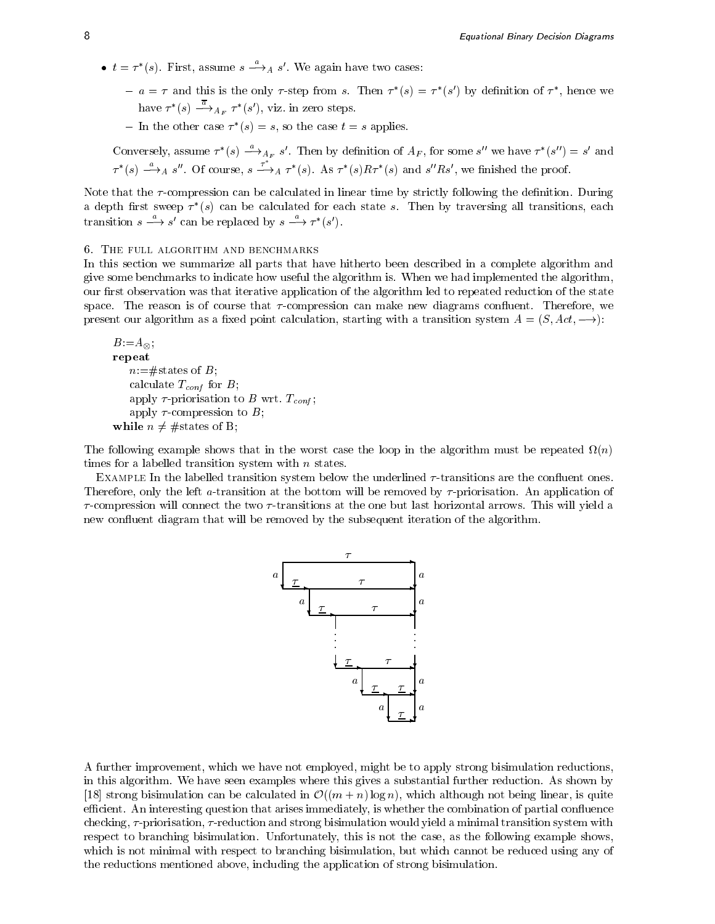- $t = \tau^*(s)$ . First, assume  $s \rightarrow A$  s'. We again have two cases:
	- $a = \tau$  and this is the only  $\tau$ -step from s. Then  $\tau$  (s)  $\equiv \tau$  (s) by definition of  $\tau$ , nence we have  $\tau^*(s) \longrightarrow_{A_F} \tau^*(s')$ , viz. in zero steps.
	- $=$  In the other case  $\tau$  (s)  $=$  s, so the case  $\iota = s$  applies.

Conversely, assume 
$$
\tau^*(s) \xrightarrow{\alpha} A_F s'
$$
. Then by definition of  $A_F$ , for some  $s''$  we have  $\tau^*(s'') = s'$  and  $\tau^*(s) \xrightarrow{\alpha} A s''$ . Of course,  $s \xrightarrow{\tau^*} A \tau^*(s)$ . As  $\tau^*(s) R \tau^*(s)$  and  $s'' R s'$ , we finished the proof.

Note that the  $\tau$ -compression can be calculated in linear time by strictly following the definition. During a depth first sweep  $\tau$  (s) can be calculated for each state s. Then by traversing all transitions, each transition  $s \longrightarrow s'$  can be replaced by  $s \longrightarrow \tau^*(s')$ .

## 6. The full algorithm and benchmarks

In this section we summarize all parts that have hitherto been described in a complete algorithm and give some benchmarks to indicate how useful the algorithm is. When we had implemented the algorithm, our first observation was that iterative application of the algorithm led to repeated reduction of the state space. The reason is of course that  $\tau$ -compression can make new diagrams confluent. Therefore, we present our algorithm as a fixed point calculation, starting with a transition system  $A = (S, Act, \rightarrow)$ :

```
B:=A_{\infty}the contract of the contract of the contract of the contract of the contract of
repeat
     n:=\#states of B;
      calculate \mathcal{L} = \{f(t) | t\}apply to be a second to B write. The second \alphaapply \tau-compression to B;
while n \neq \text{\#states of B};
```
The following example shows that in the worst case the loop in the algorithm must be repeated (n) times for a labelled transition system with  $n$  states.

EXAMPLE In the labelled transition system below the underlined  $\tau$ -transitions are the confluent ones. Therefore, only the left a-transition at the bottom will be removed by  $\tau$ -priorisation. An application of  $\tau$ -compression will connect the two  $\tau$ -transitions at the one but last horizontal arrows. This will yield a new con
uent diagram that will be removed by the subsequent iteration of the algorithm.



A further improvement, which we have not employed, might be to apply strong bisimulation reductions, in this algorithm. We have seen examples where this gives a substantial further reduction. As shown by [18] strong bisimulation can be calculated in  $\mathcal{O}((m+n) \log n)$ , which although not being linear, is quite efficient. An interesting question that arises immediately, is whether the combination of partial confluence checking,  $\tau$ -priorisation,  $\tau$ -reduction and strong bisimulation would yield a minimal transition system with respect to branching bisimulation. Unfortunately, this is not the case, as the following example shows, which is not minimal with respect to branching bisimulation, but which cannot be reduced using any of the reductions mentioned above, including the application of strong bisimulation.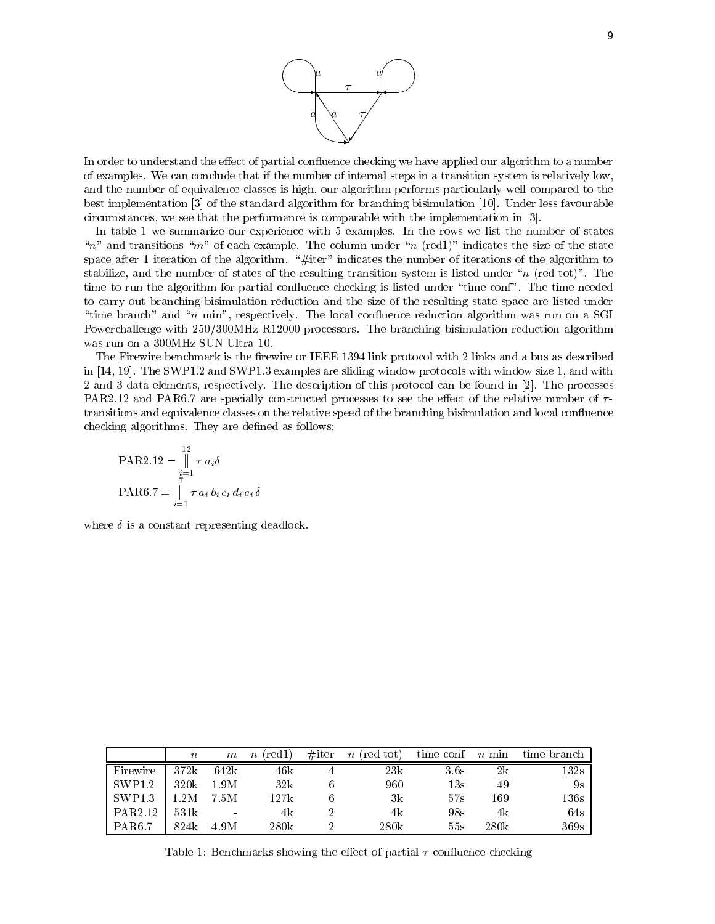

In order to understand the effect of partial confluence checking we have applied our algorithm to a number of examples. We can conclude that if the number of internal steps in a transition system is relatively low, and the number of equivalence classes is high, our algorithm performs particularly well compared to the best implementation [3] of the standard algorithm for branching bisimulation [10]. Under less favourable circumstances, we see that the performance is comparable with the implementation in [3].

In table 1 we summarize our experience with 5 examples. In the rows we list the number of states "n" and transitions "m" of each example. The column under "n (red1)" indicates the size of the state space after 1 iteration of the algorithm. "#iter" indicates the number of iterations of the algorithm to stabilize, and the number of states of the resulting transition system is listed under " $n$  (red tot)". The time to run the algorithm for partial confluence checking is listed under "time conf". The time needed to carry out branching bisimulation reduction and the size of the resulting state space are listed under "time branch" and "n min", respectively. The local confluence reduction algorithm was run on a SGI Powerchallenge with 250/300MHz R12000 processors. The branching bisimulation reduction algorithm was run on a 300MHz SUN Ultra 10.

The Firewire benchmark is the firewire or IEEE 1394 link protocol with 2 links and a bus as described in [14, 19]. The SWP1.2 and SWP1.3 examples are sliding window protocols with window size 1, and with 2 and 3 data elements, respectively. The description of this protocol can be found in [2]. The processes PAR2.12 and PAR6.7 are specially constructed processes to see the effect of the relative number of  $\tau$ transitions and equivalence classes on the relative speed of the branching bisimulation and local confluence checking algorithms. They are defined as follows:

$$
\text{PAR2.12} = \n\begin{array}{c}\n12 \\
\mid & \tau a_i \delta \\
\frac{i}{7} \\
\text{PAR6.7} = \n\begin{array}{c}\n1 \\
\mid & \tau a_i b_i c_i d_i e_i \delta\n\end{array}\n\end{array}
$$

where  $\delta$  is a constant representing deadlock.

|                    | $\boldsymbol{n}$ | $\,m$    | $(\text{red}1)$<br>$\, n$ | $#$ iter | $n$ (red tot) | time conf      | $n$ min | time branch     |
|--------------------|------------------|----------|---------------------------|----------|---------------|----------------|---------|-----------------|
| Firewire           | 372k             | 642k     | 46k                       |          | 23k           | 3.6s           | 2k      | $132\mathrm{s}$ |
| SWP1.2             | 320k             | 1.9M     | 32k                       |          | 960           | $13\mathrm{s}$ | 49      | 9s              |
| SWP <sub>1.3</sub> | 2M               | 7.5M     | 127k                      |          | 3k            | 57s            | 169     | $136\mathrm{s}$ |
| PAR2.12            | 531k             | $\equiv$ | 4k                        |          | 4k            | 98s            | 4k      | 64s             |
| <b>PAR6.7</b>      | 824k             | 4.9M     | 280k                      |          | 280k          | 55s            | 280k    | 369s            |

Table 1: Benchmarks showing the effect of partial  $\tau$ -confluence checking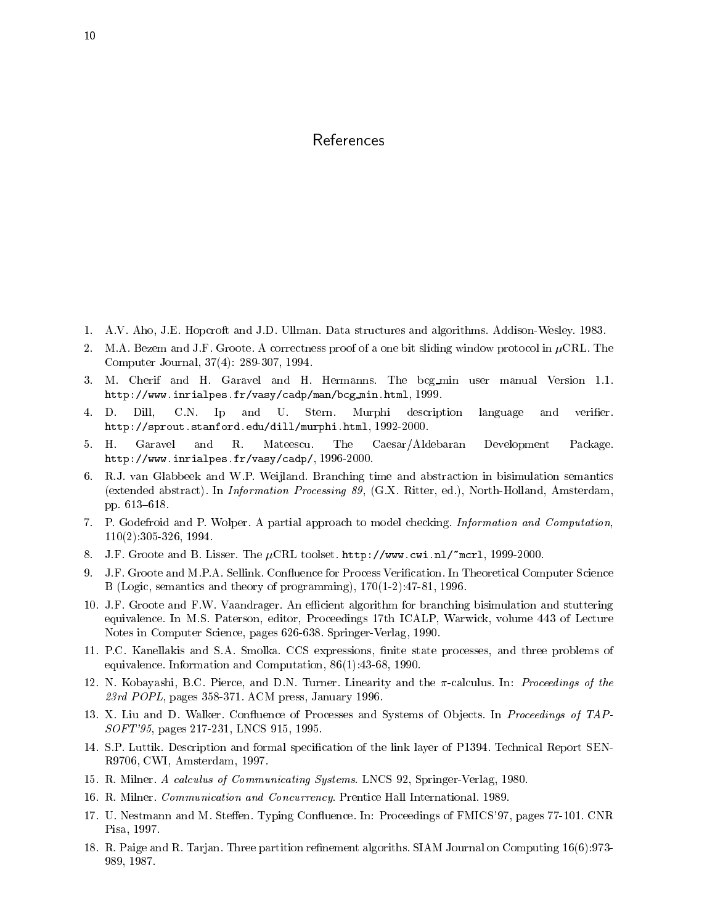# References

- 1. A.V. Aho, J.E. Hopcroft and J.D. Ullman. Data structures and algorithms. Addison-Wesley. 1983.
- 2. M.A. Bezem and J.F. Groote. A correctness proof of a one bit sliding window protocol in  $\mu$ CRL. The Computer Journal, 37(4): 289-307, 1994.
- 3. M. Cherif and H. Garavel and H. Hermanns. The bcg min user manual Version 1.1. http://www.inrialpes.fr/vasy/cadp/man/bcg min.html, 1999.
- 4. D. Dill, C.N. Ip and U. Stern. Murphi description language and verier. http://sprout.stanford.edu/dill/murphi.html, 1992-2000.
- 5. H. Garavel and R. Mateescu. The Caesar/Aldebaran Development Package. http://www.inrialpes.fr/vasy/cadp/, 1996-2000.
- 6. R.J. van Glabbeek and W.P. Weijland. Branching time and abstraction in bisimulation semantics (extended abstract). In Information Processing 89, (G.X. Ritter, ed.), North-Holland, Amsterdam, pp. 613-618.
- 7. P. Godefroid and P. Wolper. A partial approach to model checking. Information and Computation, 110(2):305-326, 1994.
- 8. J.F. Groote and B. Lisser. The  $\mu$ CRL toolset. http://www.cwi.nl/~mcrl, 1999-2000.
- 9. J.F. Groote and M.P.A. Sellink. Confluence for Process Verification. In Theoretical Computer Science B (Logic, semantics and theory of programming), 170(1-2):47-81, 1996.
- 10. J.F. Groote and F.W. Vaandrager. An efficient algorithm for branching bisimulation and stuttering equivalence. In M.S. Paterson, editor, Proceedings 17th ICALP, Warwick, volume 443 of Lecture Notes in Computer Science, pages 626-638. Springer-Verlag, 1990.
- 11. P.C. Kanellakis and S.A. Smolka. CCS expressions, nite state processes, and three problems of equivalence. Information and Computation, 86(1):43-68, 1990.
- 12. N. Kobayashi, B.C. Pierce, and D.N. Turner. Linearity and the  $\pi$ -calculus. In: *Proceedings of the*  $23rd$  POPL, pages 358-371. ACM press, January 1996.
- 13. X. Liu and D. Walker. Confluence of Processes and Systems of Objects. In Proceedings of TAP-SOFT'95, pages 217-231, LNCS 915, 1995.
- 14. S.P. Luttik. Description and formal specication of the link layer of P1394. Technical Report SEN-R9706, CWI, Amsterdam, 1997.
- 15. R. Milner. A calculus of Communicating Systems. LNCS 92, Springer-Verlag, 1980.
- 16. R. Milner. Communication and Concurrency. Prentice Hall International. 1989.
- 17. U. Nestmann and M. Steffen. Typing Confluence. In: Proceedings of FMICS'97, pages 77-101. CNR Pisa, 1997.
- 18. R. Paige and R. Tarjan. Three partition refinement algoriths. SIAM Journal on Computing 16(6):973-989, 1987.